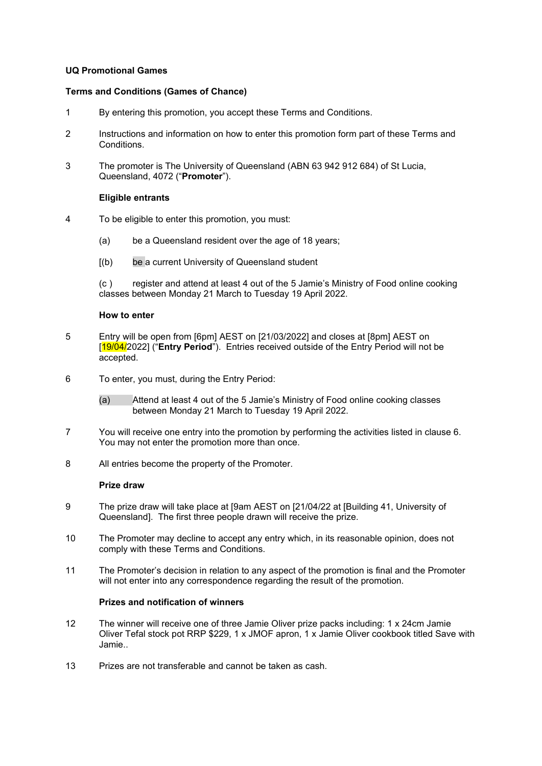## **UQ Promotional Games**

## **Terms and Conditions (Games of Chance)**

- 1 By entering this promotion, you accept these Terms and Conditions.
- 2 Instructions and information on how to enter this promotion form part of these Terms and Conditions.
- 3 The promoter is The University of Queensland (ABN 63 942 912 684) of St Lucia, Queensland, 4072 ("**Promoter**").

# **Eligible entrants**

- 4 To be eligible to enter this promotion, you must:
	- (a) be a Queensland resident over the age of 18 years;
	- [(b) be a current University of Queensland student

(c ) register and attend at least 4 out of the 5 Jamie's Ministry of Food online cooking classes between Monday 21 March to Tuesday 19 April 2022.

## **How to enter**

- 5 Entry will be open from [6pm] AEST on [21/03/2022] and closes at [8pm] AEST on [19/04/2022] ("**Entry Period**"). Entries received outside of the Entry Period will not be accepted.
- 6 To enter, you must, during the Entry Period:
	- (a) Attend at least 4 out of the 5 Jamie's Ministry of Food online cooking classes between Monday 21 March to Tuesday 19 April 2022.
- 7 You will receive one entry into the promotion by performing the activities listed in clause 6. You may not enter the promotion more than once.
- 8 All entries become the property of the Promoter.

#### **Prize draw**

- 9 The prize draw will take place at [9am AEST on [21/04/22 at [Building 41, University of Queensland]. The first three people drawn will receive the prize.
- 10 The Promoter may decline to accept any entry which, in its reasonable opinion, does not comply with these Terms and Conditions.
- 11 The Promoter's decision in relation to any aspect of the promotion is final and the Promoter will not enter into any correspondence regarding the result of the promotion.

# **Prizes and notification of winners**

- 12 The winner will receive one of three Jamie Oliver prize packs including: 1 x 24cm Jamie Oliver Tefal stock pot RRP \$229, 1 x JMOF apron, 1 x Jamie Oliver cookbook titled Save with Jamie..
- 13 Prizes are not transferable and cannot be taken as cash.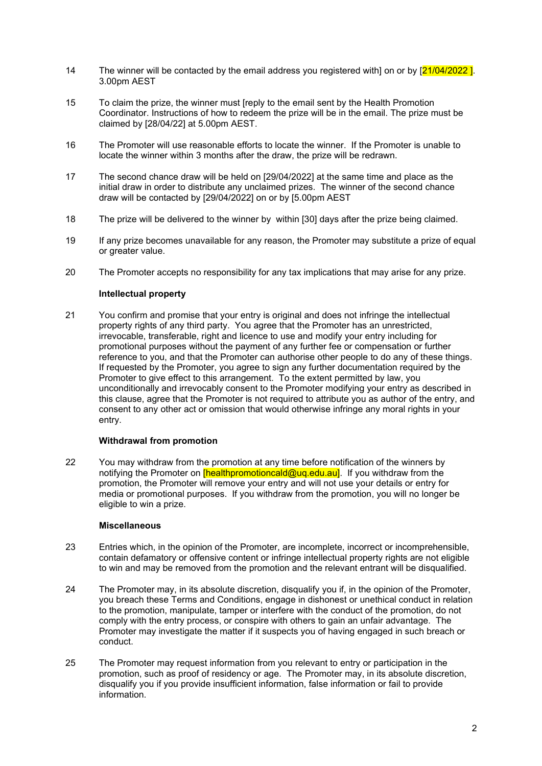- 14 The winner will be contacted by the email address you registered with] on or by  $[21/04/2022]$ . 3.00pm AEST
- 15 To claim the prize, the winner must [reply to the email sent by the Health Promotion Coordinator. Instructions of how to redeem the prize will be in the email. The prize must be claimed by [28/04/22] at 5.00pm AEST.
- 16 The Promoter will use reasonable efforts to locate the winner. If the Promoter is unable to locate the winner within 3 months after the draw, the prize will be redrawn.
- 17 The second chance draw will be held on [29/04/2022] at the same time and place as the initial draw in order to distribute any unclaimed prizes. The winner of the second chance draw will be contacted by [29/04/2022] on or by [5.00pm AEST
- 18 The prize will be delivered to the winner by within [30] days after the prize being claimed.
- 19 If any prize becomes unavailable for any reason, the Promoter may substitute a prize of equal or greater value.
- 20 The Promoter accepts no responsibility for any tax implications that may arise for any prize.

# **Intellectual property**

21 You confirm and promise that your entry is original and does not infringe the intellectual property rights of any third party. You agree that the Promoter has an unrestricted, irrevocable, transferable, right and licence to use and modify your entry including for promotional purposes without the payment of any further fee or compensation or further reference to you, and that the Promoter can authorise other people to do any of these things. If requested by the Promoter, you agree to sign any further documentation required by the Promoter to give effect to this arrangement. To the extent permitted by law, you unconditionally and irrevocably consent to the Promoter modifying your entry as described in this clause, agree that the Promoter is not required to attribute you as author of the entry, and consent to any other act or omission that would otherwise infringe any moral rights in your entry.

# **Withdrawal from promotion**

22 You may withdraw from the promotion at any time before notification of the winners by notifying the Promoter on **[healthpromotioncald@uq.edu.au]**. If you withdraw from the promotion, the Promoter will remove your entry and will not use your details or entry for media or promotional purposes. If you withdraw from the promotion, you will no longer be eligible to win a prize.

## **Miscellaneous**

- 23 Entries which, in the opinion of the Promoter, are incomplete, incorrect or incomprehensible, contain defamatory or offensive content or infringe intellectual property rights are not eligible to win and may be removed from the promotion and the relevant entrant will be disqualified.
- 24 The Promoter may, in its absolute discretion, disqualify you if, in the opinion of the Promoter, you breach these Terms and Conditions, engage in dishonest or unethical conduct in relation to the promotion, manipulate, tamper or interfere with the conduct of the promotion, do not comply with the entry process, or conspire with others to gain an unfair advantage. The Promoter may investigate the matter if it suspects you of having engaged in such breach or conduct.
- 25 The Promoter may request information from you relevant to entry or participation in the promotion, such as proof of residency or age. The Promoter may, in its absolute discretion, disqualify you if you provide insufficient information, false information or fail to provide information.